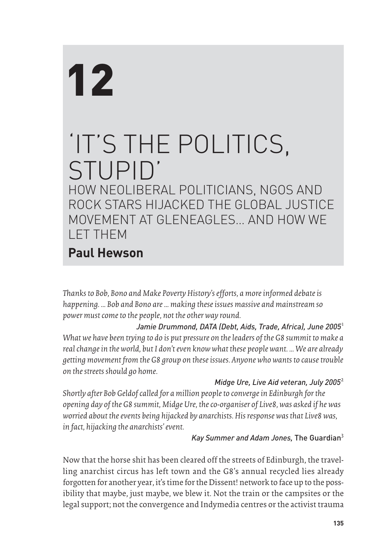# 12

# 'IT'S THE POLITICS, STUPID' HOW NEOLIBERAL POLITICIANS, NGOS AND

ROCK STARS HIJACKED THE GLOBAL JUSTICE MOVEMENT AT GLENEAGLES AND HOW WE LET THEM

**Paul Hewson**

*Thanks to Bob, Bono and Make Poverty History's efforts, a more informed debate is happening. … Bob and Bono are … making these issues massive and mainstream so power must come to the people, not the other way round.*

*Jamie Drummond, DATA (Debt, Aids, Trade, Africa), June 2005*<sup>1</sup> *What we have been trying to do is put pressure on the leaders of the G8 summit to make a real change in the world, but I don't even know what these people want. … We are already getting movement from the G8 group on these issues. Anyone who wants to cause trouble on the streets should go home.*

# *Midge Ure, Live Aid veteran, July 2005*<sup>2</sup>

*Shortly after Bob Geldof called for a million people to converge in Edinburgh for the opening day of the G8 summit, Midge Ure, the co-organiser of Live8, was asked if he was worried about the events being hijacked by anarchists. His response was that Live8 was, in fact, hijacking the anarchists' event.*

## *Kay Summer and Adam Jones,* The Guardian<sup>3</sup>

Now that the horse shit has been cleared off the streets of Edinburgh, the travelling anarchist circus has left town and the G8's annual recycled lies already forgotten for another year, it's time for the Dissent! network to face up to the possibility that maybe, just maybe, we blew it. Not the train or the campsites or the legal support; not the convergence and Indymedia centres or the activist trauma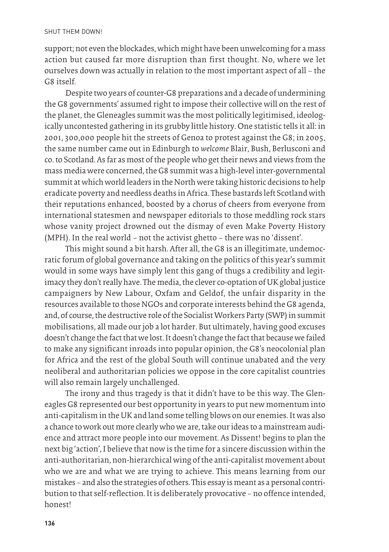support; not even the blockades, which might have been unwelcoming for a mass action but caused far more disruption than first thought. No, where we let ourselves down was actually in relation to the most important aspect of all – the G8 itself.

Despite two years of counter-G8 preparations and a decade of undermining the G8 governments' assumed right to impose their collective will on the rest of the planet, the Gleneagles summit was the most politically legitimised, ideologically uncontested gathering in its grubby little history. One statistic tells it all: in 2001, 300,000 people hit the streets of Genoa to protest against the G8; in 2005, the same number came out in Edinburgh to *welcome* Blair, Bush, Berlusconi and co. to Scotland. As far as most of the people who get their news and views from the mass media were concerned, the G8 summit was a high-level inter-governmental summit at which world leaders in the North were taking historic decisions to help eradicate poverty and needless deaths in Africa. These bastards left Scotland with their reputations enhanced, boosted by a chorus of cheers from everyone from international statesmen and newspaper editorials to those meddling rock stars whose vanity project drowned out the dismay of even Make Poverty History (MPH). In the real world – not the activist ghetto – there was no 'dissent'.

This might sound a bit harsh. After all, the G8 is an illegitimate, undemocratic forum of global governance and taking on the politics of this year's summit would in some ways have simply lent this gang of thugs a credibility and legitimacy they don't really have. The media, the clever co-optation of UK global justice campaigners by New Labour, Oxfam and Geldof, the unfair disparity in the resources available to those NGOs and corporate interests behind the G8 agenda, and, of course, the destructive role of the Socialist Workers Party (SWP) in summit mobilisations, all made our job a lot harder. But ultimately, having good excuses doesn't change the fact that we lost. It doesn't change the fact that because we failed to make any significant inroads into popular opinion, the G8's neocolonial plan for Africa and the rest of the global South will continue unabated and the very neoliberal and authoritarian policies we oppose in the core capitalist countries will also remain largely unchallenged.

The irony and thus tragedy is that it didn't have to be this way. The Gleneagles G8 represented our best opportunity in years to put new momentum into anti-capitalism in the UK and land some telling blows on our enemies. It was also a chance to work out more clearly who we are, take our ideas to a mainstream audience and attract more people into our movement. As Dissent! begins to plan the next big 'action', I believe that now is the time for a sincere discussion within the anti-authoritarian, non-hierarchical wing of the anti-capitalist movement about who we are and what we are trying to achieve. This means learning from our mistakes – and also the strategies of others. This essay is meant as a personal contribution to that self-reflection. It is deliberately provocative – no offence intended, honest!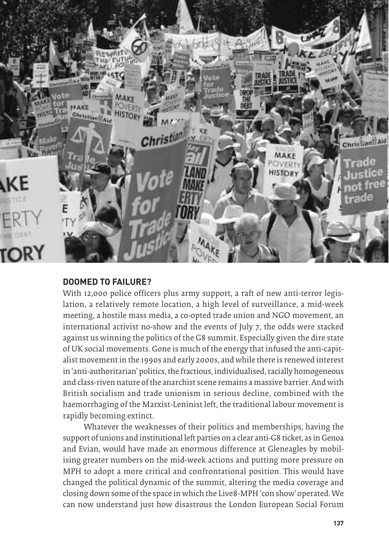

# **DOOMED TO FAILURE?**

With 12,000 police officers plus army support, a raft of new anti-terror legislation, a relatively remote location, a high level of surveillance, a mid-week meeting, a hostile mass media, a co-opted trade union and NGO movement, an international activist no-show and the events of July 7, the odds were stacked against us winning the politics of the G8 summit. Especially given the dire state of UK social movements. Gone is much of the energy that infused the anti-capitalist movement in the 1990s and early 2000s, and while there is renewed interest in 'anti-authoritarian' politics, the fractious, individualised, racially homogeneous and class-riven nature of the anarchist scene remains a massive barrier. And with British socialism and trade unionism in serious decline, combined with the haemorrhaging of the Marxist-Leninist left, the traditional labour movement is rapidly becoming extinct.

Whatever the weaknesses of their politics and memberships, having the support of unions and institutional left parties on a clear anti-G8 ticket, as in Genoa and Evian, would have made an enormous difference at Gleneagles by mobilising greater numbers on the mid-week actions and putting more pressure on MPH to adopt a more critical and confrontational position. This would have changed the political dynamic of the summit, altering the media coverage and closing down some of the space in which the Live8-MPH 'con show' operated. We can now understand just how disastrous the London European Social Forum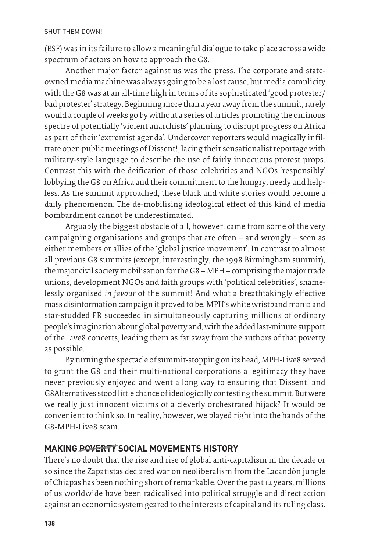(ESF) was in its failure to allow a meaningful dialogue to take place across a wide spectrum of actors on how to approach the G8.

Another major factor against us was the press. The corporate and stateowned media machine was always going to be a lost cause, but media complicity with the G8 was at an all-time high in terms of its sophisticated 'good protester/ bad protester' strategy. Beginning more than a year away from the summit, rarely would a couple of weeks go by without a series of articles promoting the ominous spectre of potentially 'violent anarchists' planning to disrupt progress on Africa as part of their 'extremist agenda'. Undercover reporters would magically infiltrate open public meetings of Dissent!, lacing their sensationalist reportage with military-style language to describe the use of fairly innocuous protest props. Contrast this with the deification of those celebrities and NGOs 'responsibly' lobbying the G8 on Africa and their commitment to the hungry, needy and helpless. As the summit approached, these black and white stories would become a daily phenomenon. The de-mobilising ideological effect of this kind of media bombardment cannot be underestimated.

Arguably the biggest obstacle of all, however, came from some of the very campaigning organisations and groups that are often – and wrongly – seen as either members or allies of the 'global justice movement'. In contrast to almost all previous G8 summits (except, interestingly, the 1998 Birmingham summit), the major civil society mobilisation for the G8 – MPH – comprising the major trade unions, development NGOs and faith groups with 'political celebrities', shamelessly organised *in favour* of the summit! And what a breathtakingly effective mass disinformation campaign it proved to be. MPH's white wristband mania and star-studded PR succeeded in simultaneously capturing millions of ordinary people's imagination about global poverty and, with the added last-minute support of the Live8 concerts, leading them as far away from the authors of that poverty as possible.

By turning the spectacle of summit-stopping on its head, MPH-Live8 served to grant the G8 and their multi-national corporations a legitimacy they have never previously enjoyed and went a long way to ensuring that Dissent! and G8Alternatives stood little chance of ideologically contesting the summit. But were we really just innocent victims of a cleverly orchestrated hijack? It would be convenient to think so. In reality, however, we played right into the hands of the G8-MPH-Live8 scam.

## **MAKING POVERTY SOCIAL MOVEMENTS HISTORY**

There's no doubt that the rise and rise of global anti-capitalism in the decade or so since the Zapatistas declared war on neoliberalism from the Lacandón jungle of Chiapas has been nothing short of remarkable. Over the past 12 years, millions of us worldwide have been radicalised into political struggle and direct action against an economic system geared to the interests of capital and its ruling class.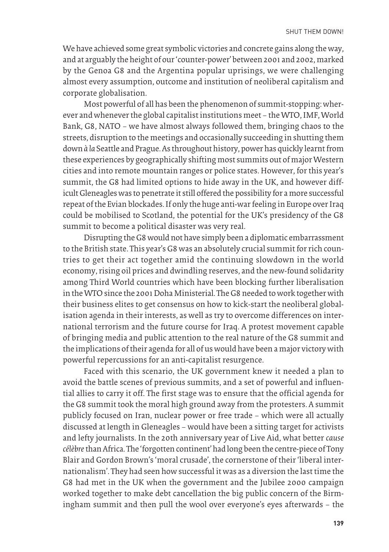We have achieved some great symbolic victories and concrete gains along the way, and at arguably the height of our 'counter-power' between 2001 and 2002, marked by the Genoa G8 and the Argentina popular uprisings, we were challenging almost every assumption, outcome and institution of neoliberal capitalism and corporate globalisation.

Most powerful of all has been the phenomenon of summit-stopping: wherever and whenever the global capitalist institutions meet – the WTO, IMF, World Bank, G8, NATO – we have almost always followed them, bringing chaos to the streets, disruption to the meetings and occasionally succeeding in shutting them down*à la* Seattle and Prague. As throughout history, power has quickly learnt from these experiences by geographically shifting most summits out of major Western cities and into remote mountain ranges or police states. However, for this year's summit, the G8 had limited options to hide away in the UK, and however difficult Gleneagles was to penetrate it still offered the possibility for a more successful repeat of the Evian blockades. If only the huge anti-war feeling in Europe over Iraq could be mobilised to Scotland, the potential for the UK's presidency of the G8 summit to become a political disaster was very real.

Disrupting the G8 would not have simply been a diplomatic embarrassment to the British state. This year's G8 was an absolutely crucial summit for rich countries to get their act together amid the continuing slowdown in the world economy, rising oil prices and dwindling reserves, and the new-found solidarity among Third World countries which have been blocking further liberalisation in the WTO since the 2001 Doha Ministerial. The G8 needed to work together with their business elites to get consensus on how to kick-start the neoliberal globalisation agenda in their interests, as well as try to overcome differences on international terrorism and the future course for Iraq. A protest movement capable of bringing media and public attention to the real nature of the G8 summit and the implications of their agenda for all of us would have been a major victory with powerful repercussions for an anti-capitalist resurgence.

Faced with this scenario, the UK government knew it needed a plan to avoid the battle scenes of previous summits, and a set of powerful and influential allies to carry it off. The first stage was to ensure that the official agenda for the G8 summit took the moral high ground away from the protesters. A summit publicly focused on Iran, nuclear power or free trade – which were all actually discussed at length in Gleneagles – would have been a sitting target for activists and lefty journalists. In the 20th anniversary year of Live Aid, what better *cause célèbre*than Africa. The 'forgotten continent' had long been the centre-piece of Tony Blair and Gordon Brown's 'moral crusade', the cornerstone of their 'liberal internationalism'. They had seen how successful it was as a diversion the last time the G8 had met in the UK when the government and the Jubilee 2000 campaign worked together to make debt cancellation the big public concern of the Birmingham summit and then pull the wool over everyone's eyes afterwards – the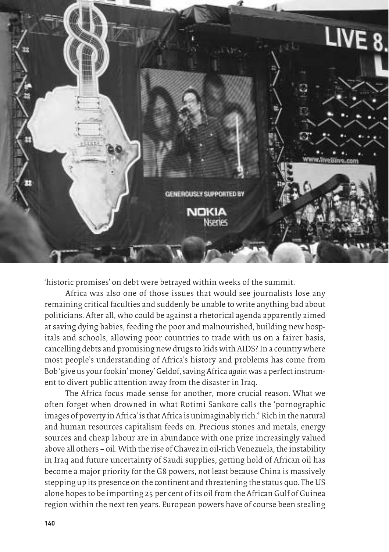

'historic promises' on debt were betrayed within weeks of the summit.

Africa was also one of those issues that would see journalists lose any remaining critical faculties and suddenly be unable to write anything bad about politicians. After all, who could be against a rhetorical agenda apparently aimed at saving dying babies, feeding the poor and malnourished, building new hospitals and schools, allowing poor countries to trade with us on a fairer basis, cancelling debts and promising new drugs to kids with AIDS? In a country where most people's understanding of Africa's history and problems has come from Bob 'give us your fookin' money' Geldof, saving Africa *again*was a perfect instrument to divert public attention away from the disaster in Iraq.

The Africa focus made sense for another, more crucial reason. What we often forget when drowned in what Rotimi Sankore calls the 'pornographic images of poverty in Africa' is that Africa is unimaginably rich.<sup>4</sup> Rich in the natural and human resources capitalism feeds on. Precious stones and metals, energy sources and cheap labour are in abundance with one prize increasingly valued above all others – oil. With the rise of Chavez in oil-rich Venezuela, the instability in Iraq and future uncertainty of Saudi supplies, getting hold of African oil has become a major priority for the G8 powers, not least because China is massively stepping up its presence on the continent and threatening the status quo. The US alone hopes to be importing 25 per cent of its oil from the African Gulf of Guinea region within the next ten years. European powers have of course been stealing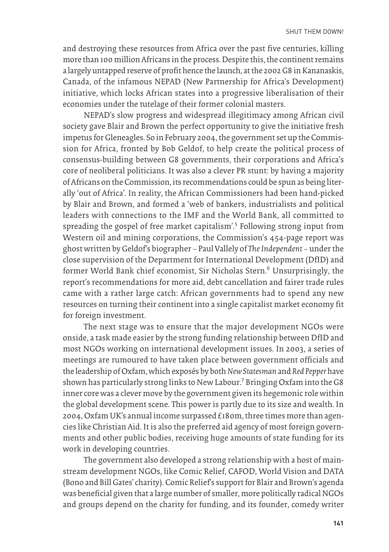and destroying these resources from Africa over the past five centuries, killing more than 100 million Africans in the process. Despite this, the continent remains a largely untapped reserve of profit hence the launch, at the 2002 G8 in Kananaskis, Canada, of the infamous NEPAD (New Partnership for Africa's Development) initiative, which locks African states into a progressive liberalisation of their economies under the tutelage of their former colonial masters.

NEPAD's slow progress and widespread illegitimacy among African civil society gave Blair and Brown the perfect opportunity to give the initiative fresh impetus for Gleneagles. So in February 2004, the government set up the Commission for Africa, fronted by Bob Geldof, to help create the political process of consensus-building between G8 governments, their corporations and Africa's core of neoliberal politicians. It was also a clever PR stunt: by having a majority of Africans on the Commission, its recommendations could be spun as being literally 'out of Africa'. In reality, the African Commissioners had been hand-picked by Blair and Brown, and formed a 'web of bankers, industrialists and political leaders with connections to the IMF and the World Bank, all committed to spreading the gospel of free market capitalism'.<sup>5</sup> Following strong input from Western oil and mining corporations, the Commission's 454-page report was ghost written by Geldof's biographer – Paul Vallely of *The Independent* – under the close supervision of the Department for International Development (DfID) and former World Bank chief economist, Sir Nicholas Stern.<sup>6</sup> Unsurprisingly, the report's recommendations for more aid, debt cancellation and fairer trade rules came with a rather large catch: African governments had to spend any new resources on turning their continent into a single capitalist market economy fit for foreign investment.

The next stage was to ensure that the major development NGOs were onside, a task made easier by the strong funding relationship between DfID and most NGOs working on international development issues. In 2003, a series of meetings are rumoured to have taken place between government officials and the leadership of Oxfam, which exposés by both *New Statesman* and *Red Pepper* have shown has particularly strong links to New Labour.7 Bringing Oxfam into the G8 inner core was a clever move by the government given its hegemonic role within the global development scene. This power is partly due to its size and wealth. In 2004, Oxfam UK's annual income surpassed £180m, three times more than agencies like Christian Aid. It is also the preferred aid agency of most foreign governments and other public bodies, receiving huge amounts of state funding for its work in developing countries.

The government also developed a strong relationship with a host of mainstream development NGOs, like Comic Relief, CAFOD, World Vision and DATA (Bono and Bill Gates' charity). Comic Relief's support for Blair and Brown's agenda was beneficial given that a large number of smaller, more politically radical NGOs and groups depend on the charity for funding, and its founder, comedy writer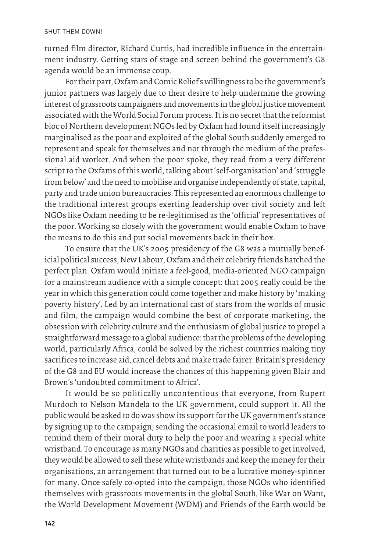turned film director, Richard Curtis, had incredible influence in the entertainment industry. Getting stars of stage and screen behind the government's G8 agenda would be an immense coup.

For their part, Oxfam and Comic Relief's willingness to be the government's junior partners was largely due to their desire to help undermine the growing interest of grassroots campaigners and movements in the global justice movement associated with the World Social Forum process. It is no secret that the reformist bloc of Northern development NGOs led by Oxfam had found itself increasingly marginalised as the poor and exploited of the global South suddenly emerged to represent and speak for themselves and not through the medium of the professional aid worker. And when the poor spoke, they read from a very different script to the Oxfams of this world, talking about 'self-organisation' and 'struggle from below' and the need to mobilise and organise independently of state, capital, party and trade union bureaucracies. This represented an enormous challenge to the traditional interest groups exerting leadership over civil society and left NGOs like Oxfam needing to be re-legitimised as the 'official' representatives of the poor. Working so closely with the government would enable Oxfam to have the means to do this and put social movements back in their box.

To ensure that the UK's 2005 presidency of the G8 was a mutually beneficial political success, New Labour, Oxfam and their celebrity friends hatched the perfect plan. Oxfam would initiate a feel-good, media-oriented NGO campaign for a mainstream audience with a simple concept: that 2005 really could be the year in which this generation could come together and make history by 'making poverty history'. Led by an international cast of stars from the worlds of music and film, the campaign would combine the best of corporate marketing, the obsession with celebrity culture and the enthusiasm of global justice to propel a straightforward message to a global audience: that the problems of the developing world, particularly Africa, could be solved by the richest countries making tiny sacrifices to increase aid, cancel debts and make trade fairer. Britain's presidency of the G8 and EU would increase the chances of this happening given Blair and Brown's 'undoubted commitment to Africa'.

It would be so politically uncontentious that everyone, from Rupert Murdoch to Nelson Mandela to the UK government, could support it. All the public would be asked to do was show its support for the UK government's stance by signing up to the campaign, sending the occasional email to world leaders to remind them of their moral duty to help the poor and wearing a special white wristband. To encourage as many NGOs and charities as possible to get involved, they would be allowed to sell these white wristbands and keep the money for their organisations, an arrangement that turned out to be a lucrative money-spinner for many. Once safely co-opted into the campaign, those NGOs who identified themselves with grassroots movements in the global South, like War on Want, the World Development Movement (WDM) and Friends of the Earth would be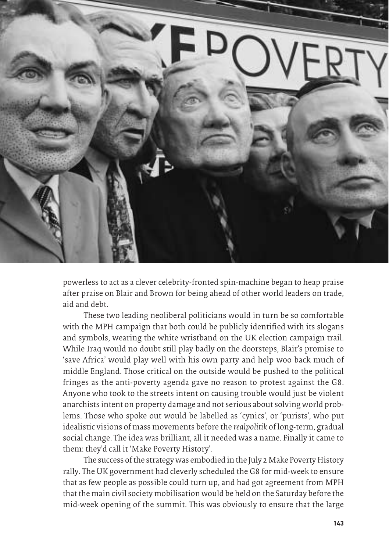

powerless to act as a clever celebrity-fronted spin-machine began to heap praise after praise on Blair and Brown for being ahead of other world leaders on trade, aid and debt.

These two leading neoliberal politicians would in turn be so comfortable with the MPH campaign that both could be publicly identified with its slogans and symbols, wearing the white wristband on the UK election campaign trail. While Iraq would no doubt still play badly on the doorsteps, Blair's promise to 'save Africa' would play well with his own party and help woo back much of middle England. Those critical on the outside would be pushed to the political fringes as the anti-poverty agenda gave no reason to protest against the G8. Anyone who took to the streets intent on causing trouble would just be violent anarchists intent on property damage and not serious about solving world problems. Those who spoke out would be labelled as 'cynics', or 'purists', who put idealistic visions of mass movements before the *realpolitik* of long-term, gradual social change. The idea was brilliant, all it needed was a name. Finally it came to them: they'd call it 'Make Poverty History'.

The success of the strategy was embodied in the July 2 Make Poverty History rally. The UK government had cleverly scheduled the G8 for mid-week to ensure that as few people as possible could turn up, and had got agreement from MPH that the main civil society mobilisation would be held on the Saturday before the mid-week opening of the summit. This was obviously to ensure that the large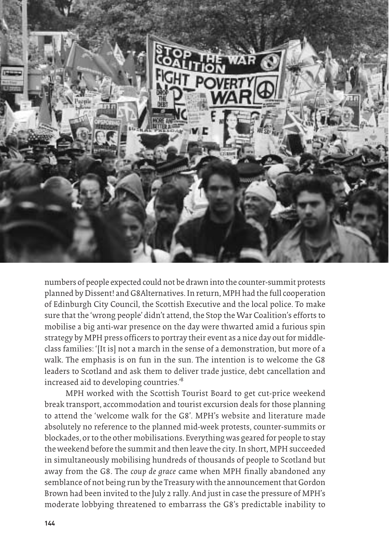

numbers of people expected could not be drawn into the counter-summit protests planned by Dissent! and G8Alternatives. In return, MPH had the full cooperation of Edinburgh City Council, the Scottish Executive and the local police. To make sure that the 'wrong people' didn't attend, the Stop the War Coalition's efforts to mobilise a big anti-war presence on the day were thwarted amid a furious spin strategy by MPH press officers to portray their event as a nice day out for middleclass families: '[It is] not a march in the sense of a demonstration, but more of a walk. The emphasis is on fun in the sun. The intention is to welcome the G8 leaders to Scotland and ask them to deliver trade justice, debt cancellation and increased aid to developing countries.'<sup>8</sup>

MPH worked with the Scottish Tourist Board to get cut-price weekend break transport, accommodation and tourist excursion deals for those planning to attend the 'welcome walk for the G8'. MPH's website and literature made absolutely no reference to the planned mid-week protests, counter-summits or blockades, or to the other mobilisations. Everything was geared for people to stay the weekend before the summit and then leave the city. In short, MPH succeeded in simultaneously mobilising hundreds of thousands of people to Scotland but away from the G8. The *coup de grace* came when MPH finally abandoned any semblance of not being run by the Treasury with the announcement that Gordon Brown had been invited to the July 2 rally. And just in case the pressure of MPH's moderate lobbying threatened to embarrass the G8's predictable inability to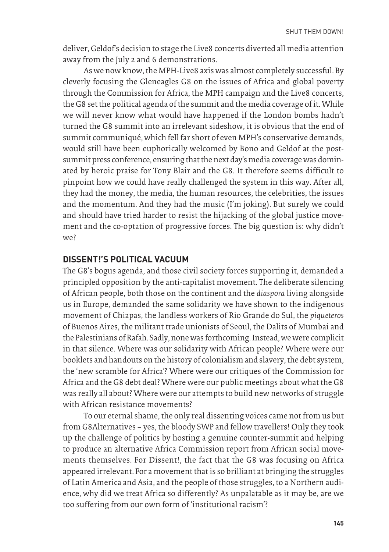deliver, Geldof's decision to stage the Live8 concerts diverted all media attention away from the July 2 and 6 demonstrations.

As we now know, the MPH-Live8 axis was almost completely successful. By cleverly focusing the Gleneagles G8 on the issues of Africa and global poverty through the Commission for Africa, the MPH campaign and the Live8 concerts, the G8 set the political agenda of the summit and the media coverage of it. While we will never know what would have happened if the London bombs hadn't turned the G8 summit into an irrelevant sideshow, it is obvious that the end of summit communiqué, which fell far short of even MPH's conservative demands, would still have been euphorically welcomed by Bono and Geldof at the postsummit press conference, ensuring that the next day's media coverage was dominated by heroic praise for Tony Blair and the G8. It therefore seems difficult to pinpoint how we could have really challenged the system in this way. After all, they had the money, the media, the human resources, the celebrities, the issues and the momentum. And they had the music (I'm joking). But surely we could and should have tried harder to resist the hijacking of the global justice movement and the co-optation of progressive forces. The big question is: why didn't we?

#### **DISSENT!'S POLITICAL VACUUM**

The G8's bogus agenda, and those civil society forces supporting it, demanded a principled opposition by the anti-capitalist movement. The deliberate silencing of African people, both those on the continent and the *diaspora* living alongside us in Europe, demanded the same solidarity we have shown to the indigenous movement of Chiapas, the landless workers of Rio Grande do Sul, the *piqueteros* of Buenos Aires, the militant trade unionists of Seoul, the Dalits of Mumbai and the Palestinians of Rafah. Sadly, none was forthcoming. Instead, we were complicit in that silence. Where was our solidarity with African people? Where were our booklets and handouts on the history of colonialism and slavery, the debt system, the 'new scramble for Africa'? Where were our critiques of the Commission for Africa and the G8 debt deal? Where were our public meetings about what the G8 was really all about? Where were our attempts to build new networks of struggle with African resistance movements?

To our eternal shame, the only real dissenting voices came not from us but from G8Alternatives – yes, the bloody SWP and fellow travellers! Only they took up the challenge of politics by hosting a genuine counter-summit and helping to produce an alternative Africa Commission report from African social movements themselves. For Dissent!, the fact that the G8 was focusing on Africa appeared irrelevant. For a movement that is so brilliant at bringing the struggles of Latin America and Asia, and the people of those struggles, to a Northern audience, why did we treat Africa so differently? As unpalatable as it may be, are we too suffering from our own form of 'institutional racism'?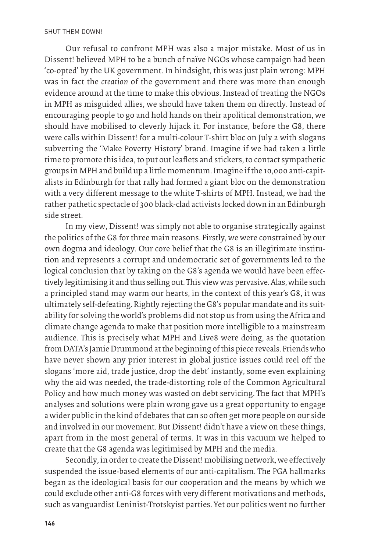Our refusal to confront MPH was also a major mistake. Most of us in Dissent! believed MPH to be a bunch of naïve NGOs whose campaign had been 'co-opted' by the UK government. In hindsight, this was just plain wrong: MPH was in fact the *creation* of the government and there was more than enough evidence around at the time to make this obvious. Instead of treating the NGOs in MPH as misguided allies, we should have taken them on directly. Instead of encouraging people to go and hold hands on their apolitical demonstration, we should have mobilised to cleverly hijack it. For instance, before the G8, there were calls within Dissent! for a multi-colour T-shirt bloc on July 2 with slogans subverting the 'Make Poverty History' brand. Imagine if we had taken a little time to promote this idea, to put out leaflets and stickers, to contact sympathetic groups in MPH and build up a little momentum. Imagine if the 10,000 anti-capitalists in Edinburgh for that rally had formed a giant bloc on the demonstration with a very different message to the white T-shirts of MPH. Instead, we had the rather pathetic spectacle of 300 black-clad activists locked down in an Edinburgh side street.

In my view, Dissent! was simply not able to organise strategically against the politics of the G8 for three main reasons. Firstly, we were constrained by our own dogma and ideology. Our core belief that the G8 is an illegitimate institution and represents a corrupt and undemocratic set of governments led to the logical conclusion that by taking on the G8's agenda we would have been effectively legitimising it and thus selling out. This view was pervasive. Alas, while such a principled stand may warm our hearts, in the context of this year's G8, it was ultimately self-defeating. Rightly rejecting the G8's popular mandate and its suitability for solving the world's problems did not stop us from using the Africa and climate change agenda to make that position more intelligible to a mainstream audience. This is precisely what MPH and Live8 were doing, as the quotation from DATA's Jamie Drummond at the beginning of this piece reveals. Friends who have never shown any prior interest in global justice issues could reel off the slogans 'more aid, trade justice, drop the debt' instantly, some even explaining why the aid was needed, the trade-distorting role of the Common Agricultural Policy and how much money was wasted on debt servicing. The fact that MPH's analyses and solutions were plain wrong gave us a great opportunity to engage a wider public in the kind of debates that can so often get more people on our side and involved in our movement. But Dissent! didn't have a view on these things, apart from in the most general of terms. It was in this vacuum we helped to create that the G8 agenda was legitimised by MPH and the media.

Secondly, in order to create the Dissent! mobilising network, we effectively suspended the issue-based elements of our anti-capitalism. The PGA hallmarks began as the ideological basis for our cooperation and the means by which we could exclude other anti-G8 forces with very different motivations and methods, such as vanguardist Leninist-Trotskyist parties. Yet our politics went no further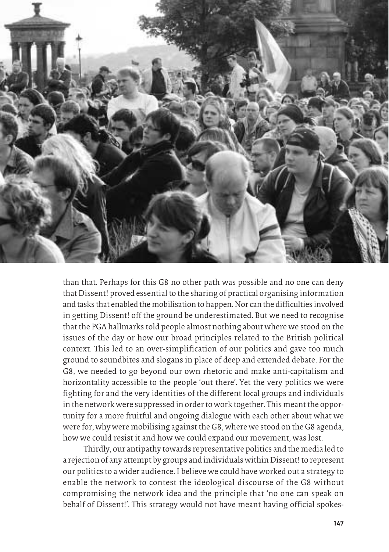

than that. Perhaps for this G8 no other path was possible and no one can deny that Dissent! proved essential to the sharing of practical organising information and tasks that enabled the mobilisation to happen. Nor can the difficulties involved in getting Dissent! off the ground be underestimated. But we need to recognise that the PGA hallmarks told people almost nothing about where we stood on the issues of the day or how our broad principles related to the British political context. This led to an over-simplification of our politics and gave too much ground to soundbites and slogans in place of deep and extended debate. For the G8, we needed to go beyond our own rhetoric and make anti-capitalism and horizontality accessible to the people 'out there'. Yet the very politics we were fighting for and the very identities of the different local groups and individuals in the network were suppressed in order to work together. This meant the opportunity for a more fruitful and ongoing dialogue with each other about what we were for, why were mobilising against the G8, where we stood on the G8 agenda, how we could resist it and how we could expand our movement, was lost.

Thirdly, our antipathy towards representative politics and the media led to a rejection of any attempt by groups and individuals within Dissent! to represent our politics to a wider audience. I believe we could have worked out a strategy to enable the network to contest the ideological discourse of the G8 without compromising the network idea and the principle that 'no one can speak on behalf of Dissent!'. This strategy would not have meant having official spokes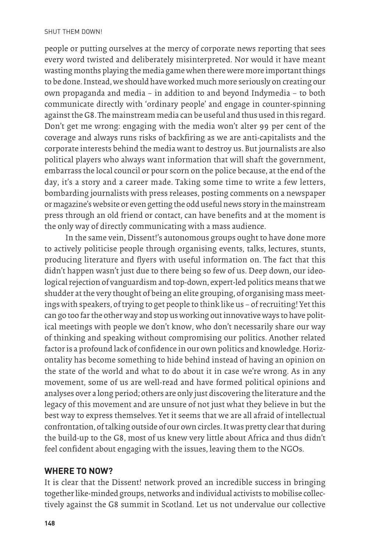people or putting ourselves at the mercy of corporate news reporting that sees every word twisted and deliberately misinterpreted. Nor would it have meant wasting months playing the media game when there were more important things to be done. Instead, we should have worked much more seriously on creating our own propaganda and media – in addition to and beyond Indymedia – to both communicate directly with 'ordinary people' and engage in counter-spinning against the G8. The mainstream media can be useful and thus used in this regard. Don't get me wrong: engaging with the media won't alter 99 per cent of the coverage and always runs risks of backfiring as we are anti-capitalists and the corporate interests behind the media want to destroy us. But journalists are also political players who always want information that will shaft the government, embarrass the local council or pour scorn on the police because, at the end of the day, it's a story and a career made. Taking some time to write a few letters, bombarding journalists with press releases, posting comments on a newspaper or magazine's website or even getting the odd useful news story in the mainstream press through an old friend or contact, can have benefits and at the moment is the only way of directly communicating with a mass audience.

In the same vein, Dissent!'s autonomous groups ought to have done more to actively politicise people through organising events, talks, lectures, stunts, producing literature and flyers with useful information on. The fact that this didn't happen wasn't just due to there being so few of us. Deep down, our ideological rejection of vanguardism and top-down, expert-led politics means that we shudder at the very thought of being an elite grouping, of organising mass meetings with speakers, of trying to get people to think like us – of recruiting! Yet this can go too far the other way and stop us working out innovative ways to have political meetings with people we don't know, who don't necessarily share our way of thinking and speaking without compromising our politics. Another related factor is a profound lack of confidence in our own politics and knowledge. Horizontality has become something to hide behind instead of having an opinion on the state of the world and what to do about it in case we're wrong. As in any movement, some of us are well-read and have formed political opinions and analyses over a long period; others are only just discovering the literature and the legacy of this movement and are unsure of not just what they believe in but the best way to express themselves. Yet it seems that we are all afraid of intellectual confrontation, of talking outside of our own circles. It was pretty clear that during the build-up to the G8, most of us knew very little about Africa and thus didn't feel confident about engaging with the issues, leaving them to the NGOs.

## **WHERE TO NOW?**

It is clear that the Dissent! network proved an incredible success in bringing together like-minded groups, networks and individual activists to mobilise collectively against the G8 summit in Scotland. Let us not undervalue our collective